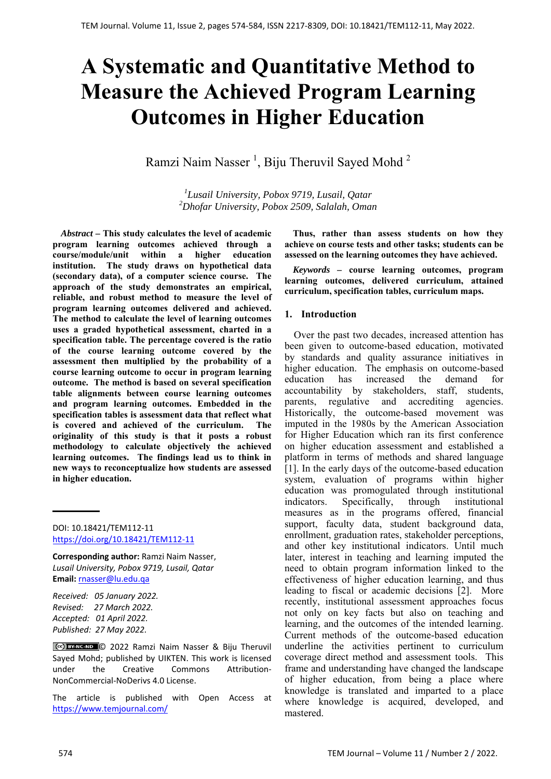# **A Systematic and Quantitative Method to Measure the Achieved Program Learning Outcomes in Higher Education**

Ramzi Naim Nasser<sup>1</sup>, Biju Theruvil Sayed Mohd<sup>2</sup>

*1 Lusail University, Pobox 9719, Lusail, Qatar 2 Dhofar University, Pobox 2509, Salalah, Oman* 

*Abstract –* **This study calculates the level of academic program learning outcomes achieved through a course/module/unit within a higher education institution. The study draws on hypothetical data (secondary data), of a computer science course. The approach of the study demonstrates an empirical, reliable, and robust method to measure the level of program learning outcomes delivered and achieved. The method to calculate the level of learning outcomes uses a graded hypothetical assessment, charted in a specification table. The percentage covered is the ratio of the course learning outcome covered by the assessment then multiplied by the probability of a course learning outcome to occur in program learning outcome. The method is based on several specification table alignments between course learning outcomes and program learning outcomes. Embedded in the specification tables is assessment data that reflect what is covered and achieved of the curriculum. The originality of this study is that it posts a robust methodology to calculate objectively the achieved learning outcomes. The findings lead us to think in new ways to reconceptualize how students are assessed in higher education.** 

DOI: 10.18421/TEM112-11 https://doi.org/10.18421/TEM112-11

**Corresponding author:** Ramzi Naim Nasser, *Lusail University, Pobox 9719, Lusail, Qatar*  **Email:** rnasser@lu.edu.qa

*Received: 05 January 2022. Revised: 27 March 2022. Accepted: 01 April 2022. Published: 27 May 2022.* 

© 2022 Ramzi Naim Nasser & Biju Theruvil Sayed Mohd; published by UIKTEN. This work is licensed under the Creative Commons Attribution‐ NonCommercial‐NoDerivs 4.0 License.

The article is published with Open Access at https://www.temjournal.com/

**Thus, rather than assess students on how they achieve on course tests and other tasks; students can be assessed on the learning outcomes they have achieved.** 

*Keywords –* **course learning outcomes, program learning outcomes, delivered curriculum, attained curriculum, specification tables, curriculum maps.**

## **1. Introduction**

Over the past two decades, increased attention has been given to outcome-based education, motivated by standards and quality assurance initiatives in higher education. The emphasis on outcome-based education has increased the demand for accountability by stakeholders, staff, students, parents, regulative and accrediting agencies. Historically, the outcome-based movement was imputed in the 1980s by the American Association for Higher Education which ran its first conference on higher education assessment and established a platform in terms of methods and shared language [1]. In the early days of the outcome-based education system, evaluation of programs within higher education was promogulated through institutional indicators. Specifically, through institutional measures as in the programs offered, financial support, faculty data, student background data, enrollment, graduation rates, stakeholder perceptions, and other key institutional indicators. Until much later, interest in teaching and learning imputed the need to obtain program information linked to the effectiveness of higher education learning, and thus leading to fiscal or academic decisions [2]. More recently, institutional assessment approaches focus not only on key facts but also on teaching and learning, and the outcomes of the intended learning. Current methods of the outcome-based education underline the activities pertinent to curriculum coverage direct method and assessment tools. This frame and understanding have changed the landscape of higher education, from being a place where knowledge is translated and imparted to a place where knowledge is acquired, developed, and mastered.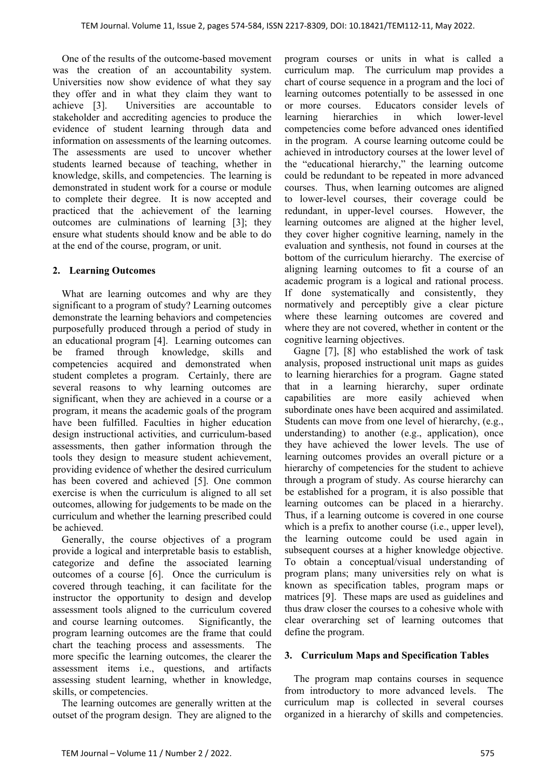One of the results of the outcome-based movement was the creation of an accountability system. Universities now show evidence of what they say they offer and in what they claim they want to achieve [3]. Universities are accountable to stakeholder and accrediting agencies to produce the evidence of student learning through data and information on assessments of the learning outcomes. The assessments are used to uncover whether students learned because of teaching, whether in knowledge, skills, and competencies. The learning is demonstrated in student work for a course or module to complete their degree. It is now accepted and practiced that the achievement of the learning outcomes are culminations of learning [3]; they ensure what students should know and be able to do at the end of the course, program, or unit.

## **2. Learning Outcomes**

What are learning outcomes and why are they significant to a program of study? Learning outcomes demonstrate the learning behaviors and competencies purposefully produced through a period of study in an educational program [4]. Learning outcomes can be framed through knowledge, skills and competencies acquired and demonstrated when student completes a program. Certainly, there are several reasons to why learning outcomes are significant, when they are achieved in a course or a program, it means the academic goals of the program have been fulfilled. Faculties in higher education design instructional activities, and curriculum-based assessments, then gather information through the tools they design to measure student achievement, providing evidence of whether the desired curriculum has been covered and achieved [5]. One common exercise is when the curriculum is aligned to all set outcomes, allowing for judgements to be made on the curriculum and whether the learning prescribed could be achieved.

Generally, the course objectives of a program provide a logical and interpretable basis to establish, categorize and define the associated learning outcomes of a course [6]. Once the curriculum is covered through teaching, it can facilitate for the instructor the opportunity to design and develop assessment tools aligned to the curriculum covered and course learning outcomes. Significantly, the program learning outcomes are the frame that could chart the teaching process and assessments. The more specific the learning outcomes, the clearer the assessment items i.e., questions, and artifacts assessing student learning, whether in knowledge, skills, or competencies.

The learning outcomes are generally written at the outset of the program design. They are aligned to the program courses or units in what is called a curriculum map. The curriculum map provides a chart of course sequence in a program and the loci of learning outcomes potentially to be assessed in one or more courses. Educators consider levels of learning hierarchies in which lower-level competencies come before advanced ones identified in the program. A course learning outcome could be achieved in introductory courses at the lower level of the "educational hierarchy," the learning outcome could be redundant to be repeated in more advanced courses. Thus, when learning outcomes are aligned to lower-level courses, their coverage could be redundant, in upper-level courses. However, the learning outcomes are aligned at the higher level, they cover higher cognitive learning, namely in the evaluation and synthesis, not found in courses at the bottom of the curriculum hierarchy. The exercise of aligning learning outcomes to fit a course of an academic program is a logical and rational process. If done systematically and consistently, they normatively and perceptibly give a clear picture where these learning outcomes are covered and where they are not covered, whether in content or the cognitive learning objectives.

Gagne [7], [8] who established the work of task analysis, proposed instructional unit maps as guides to learning hierarchies for a program. Gagne stated that in a learning hierarchy, super ordinate capabilities are more easily achieved when subordinate ones have been acquired and assimilated. Students can move from one level of hierarchy, (e.g., understanding) to another (e.g., application), once they have achieved the lower levels. The use of learning outcomes provides an overall picture or a hierarchy of competencies for the student to achieve through a program of study. As course hierarchy can be established for a program, it is also possible that learning outcomes can be placed in a hierarchy. Thus, if a learning outcome is covered in one course which is a prefix to another course *(i.e., upper level)*, the learning outcome could be used again in subsequent courses at a higher knowledge objective. To obtain a conceptual/visual understanding of program plans; many universities rely on what is known as specification tables, program maps or matrices [9]. These maps are used as guidelines and thus draw closer the courses to a cohesive whole with clear overarching set of learning outcomes that define the program.

## **3. Curriculum Maps and Specification Tables**

The program map contains courses in sequence from introductory to more advanced levels. The curriculum map is collected in several courses organized in a hierarchy of skills and competencies.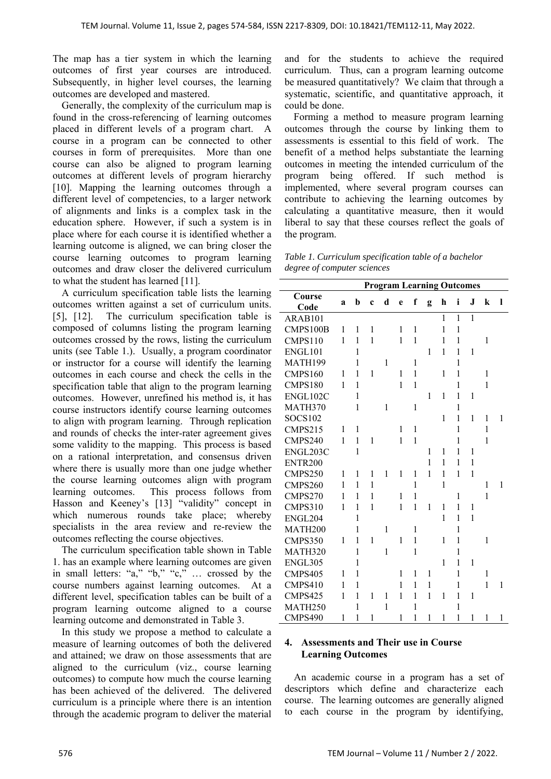The map has a tier system in which the learning outcomes of first year courses are introduced. Subsequently, in higher level courses, the learning outcomes are developed and mastered.

Generally, the complexity of the curriculum map is found in the cross-referencing of learning outcomes placed in different levels of a program chart. A course in a program can be connected to other courses in form of prerequisites. More than one course can also be aligned to program learning outcomes at different levels of program hierarchy [10]. Mapping the learning outcomes through a different level of competencies, to a larger network of alignments and links is a complex task in the education sphere. However, if such a system is in place where for each course it is identified whether a learning outcome is aligned, we can bring closer the course learning outcomes to program learning outcomes and draw closer the delivered curriculum to what the student has learned [11].

A curriculum specification table lists the learning outcomes written against a set of curriculum units. [5], [12]. The curriculum specification table is composed of columns listing the program learning outcomes crossed by the rows, listing the curriculum units (see Table 1.). Usually, a program coordinator or instructor for a course will identify the learning outcomes in each course and check the cells in the specification table that align to the program learning outcomes. However, unrefined his method is, it has course instructors identify course learning outcomes to align with program learning. Through replication and rounds of checks the inter-rater agreement gives some validity to the mapping. This process is based on a rational interpretation, and consensus driven where there is usually more than one judge whether the course learning outcomes align with program learning outcomes. This process follows from Hasson and Keeney's [13] "validity" concept in which numerous rounds take place; whereby specialists in the area review and re-review the outcomes reflecting the course objectives.

The curriculum specification table shown in Table 1. has an example where learning outcomes are given in small letters: "a," "b," "c," … crossed by the course numbers against learning outcomes. At a different level, specification tables can be built of a program learning outcome aligned to a course learning outcome and demonstrated in Table 3.

In this study we propose a method to calculate a measure of learning outcomes of both the delivered and attained; we draw on those assessments that are aligned to the curriculum (viz., course learning outcomes) to compute how much the course learning has been achieved of the delivered. The delivered curriculum is a principle where there is an intention through the academic program to deliver the material

and for the students to achieve the required curriculum. Thus, can a program learning outcome be measured quantitatively? We claim that through a systematic, scientific, and quantitative approach, it could be done.

Forming a method to measure program learning outcomes through the course by linking them to assessments is essential to this field of work. The benefit of a method helps substantiate the learning outcomes in meeting the intended curriculum of the program being offered. If such method is implemented, where several program courses can contribute to achieving the learning outcomes by calculating a quantitative measure, then it would liberal to say that these courses reflect the goals of the program.

| Table 1. Curriculum specification table of a bachelor |  |
|-------------------------------------------------------|--|
| degree of computer sciences                           |  |

|                     | <b>Program Learning Outcomes</b> |              |              |              |   |              |              |              |              |              |              |              |  |
|---------------------|----------------------------------|--------------|--------------|--------------|---|--------------|--------------|--------------|--------------|--------------|--------------|--------------|--|
| Course              | a                                | b            | $\mathbf c$  | d            | e | f            | g            | h            | i            | J            | $\bf k$      | 1            |  |
| Code                |                                  |              |              |              |   |              |              |              |              |              |              |              |  |
| ARAB101             |                                  |              |              |              |   |              |              | $\mathbf{1}$ | $\mathbf{1}$ | $\mathbf{1}$ |              |              |  |
| CMPS100B            | 1                                | 1            | 1            |              | 1 | 1            |              | 1            | 1            |              |              |              |  |
| CMPS110             | 1                                | 1            | 1            |              | 1 | 1            |              | 1            | 1            |              | 1            |              |  |
| ENGL101             |                                  | 1            |              |              |   |              | 1            | 1            | 1            | 1            |              |              |  |
| MATH199             |                                  | $\mathbf{1}$ |              | $\mathbf{1}$ |   | 1            |              |              | $\mathbf{1}$ |              |              |              |  |
| CMPS160             | 1                                | 1            | 1            |              | 1 | 1            |              | 1            | 1            |              | 1            |              |  |
| CMPS180             | 1                                | $\mathbf{1}$ |              |              | 1 | $\mathbf{1}$ |              |              | 1            |              | 1            |              |  |
| ENGL102C            |                                  | 1            |              |              |   |              | $\mathbf{1}$ | 1            | 1            | 1            |              |              |  |
| MATH370             |                                  | 1            |              | 1            |   | 1            |              |              | 1            |              |              |              |  |
| <b>SOCS102</b>      |                                  |              |              |              |   |              |              | 1            | $\mathbf{1}$ | 1            | 1            | 1            |  |
| CMPS215             | 1                                | 1            |              |              | 1 | 1            |              |              | $\mathbf{1}$ |              | 1            |              |  |
| CMPS240             | 1                                | 1            | 1            |              | 1 | $\mathbf{1}$ |              |              | 1            |              | 1            |              |  |
| ENGL203C            |                                  | 1            |              |              |   |              | 1            | 1            | 1            | 1            |              |              |  |
| ENTR <sub>200</sub> |                                  |              |              |              |   |              | 1            | 1            | 1            | 1            |              |              |  |
| CMPS250             | 1                                | 1            | 1            | $\mathbf{1}$ | 1 | 1            | 1            | 1            | 1            | $\mathbf{1}$ |              |              |  |
| CMPS260             | 1                                | 1            | 1            |              |   | $\mathbf{1}$ |              | 1            |              |              | 1            | 1            |  |
| CMPS270             | 1                                | 1            | 1            |              | 1 | 1            |              |              | 1            |              | $\mathbf{1}$ |              |  |
| CMPS310             | 1                                | 1            | 1            |              | 1 | $\mathbf{1}$ | $\mathbf{1}$ | 1            | 1            | 1            |              |              |  |
| ENGL204             |                                  | 1            |              |              |   |              |              | 1            | 1            | 1            |              |              |  |
| MATH200             |                                  | 1            |              | 1            |   | 1            |              |              | 1            |              |              |              |  |
| CMPS350             | 1                                | 1            | 1            |              | 1 | 1            |              | 1            | 1            |              | 1            |              |  |
| MATH320             |                                  | $\mathbf{1}$ |              | $\mathbf{1}$ |   | $\mathbf{1}$ |              |              | $\mathbf{1}$ |              |              |              |  |
| ENGL305             |                                  | 1            |              |              |   |              |              | 1            | 1            | 1            |              |              |  |
| CMPS405             | 1                                | 1            |              |              | 1 | 1            | 1            |              | $\mathbf{1}$ |              | 1            |              |  |
| CMPS410             | 1                                | 1            |              |              | 1 | 1            | 1            |              | 1            |              | $\mathbf{1}$ | 1            |  |
| CMPS425             | 1                                | 1            | 1            | 1            | 1 | 1            | 1            | 1            | 1            | 1            |              |              |  |
| MATH <sub>250</sub> |                                  | 1            |              | $\mathbf{1}$ |   | $\mathbf{1}$ |              |              | 1            |              |              |              |  |
| CMPS490             | 1                                | $\mathbf{1}$ | $\mathbf{1}$ |              | 1 | $\mathbf{1}$ | $\mathbf{1}$ | 1            | $\mathbf{1}$ | $\mathbf{1}$ | 1            | $\mathbf{1}$ |  |

## **4. Assessments and Their use in Course Learning Outcomes**

An academic course in a program has a set of descriptors which define and characterize each course. The learning outcomes are generally aligned to each course in the program by identifying,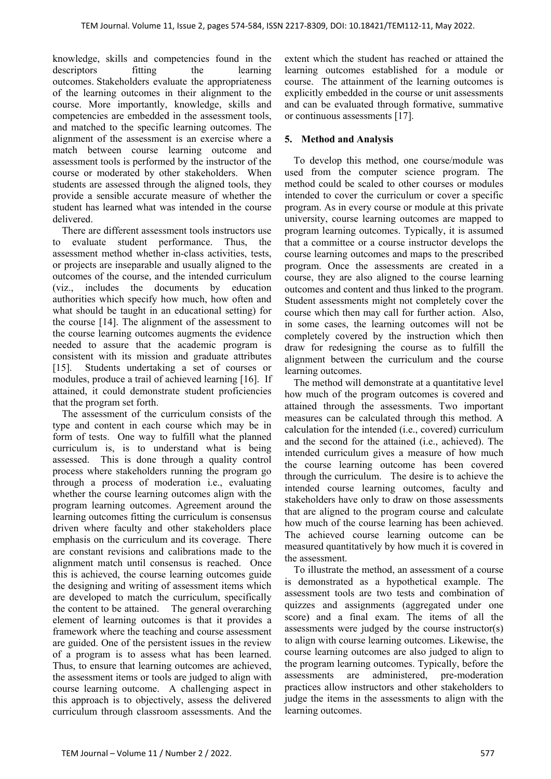knowledge, skills and competencies found in the descriptors fitting the learning outcomes. Stakeholders evaluate the appropriateness of the learning outcomes in their alignment to the course. More importantly, knowledge, skills and competencies are embedded in the assessment tools, and matched to the specific learning outcomes. The alignment of the assessment is an exercise where a match between course learning outcome and assessment tools is performed by the instructor of the course or moderated by other stakeholders. When students are assessed through the aligned tools, they provide a sensible accurate measure of whether the student has learned what was intended in the course delivered.

There are different assessment tools instructors use to evaluate student performance. Thus, the assessment method whether in-class activities, tests, or projects are inseparable and usually aligned to the outcomes of the course, and the intended curriculum (viz., includes the documents by education authorities which specify how much, how often and what should be taught in an educational setting) for the course [14]. The alignment of the assessment to the course learning outcomes augments the evidence needed to assure that the academic program is consistent with its mission and graduate attributes [15]. Students undertaking a set of courses or modules, produce a trail of achieved learning [16]. If attained, it could demonstrate student proficiencies that the program set forth.

The assessment of the curriculum consists of the type and content in each course which may be in form of tests. One way to fulfill what the planned curriculum is, is to understand what is being assessed. This is done through a quality control process where stakeholders running the program go through a process of moderation i.e., evaluating whether the course learning outcomes align with the program learning outcomes. Agreement around the learning outcomes fitting the curriculum is consensus driven where faculty and other stakeholders place emphasis on the curriculum and its coverage. There are constant revisions and calibrations made to the alignment match until consensus is reached. Once this is achieved, the course learning outcomes guide the designing and writing of assessment items which are developed to match the curriculum, specifically the content to be attained. The general overarching element of learning outcomes is that it provides a framework where the teaching and course assessment are guided. One of the persistent issues in the review of a program is to assess what has been learned. Thus, to ensure that learning outcomes are achieved, the assessment items or tools are judged to align with course learning outcome. A challenging aspect in this approach is to objectively, assess the delivered curriculum through classroom assessments. And the

extent which the student has reached or attained the learning outcomes established for a module or course. The attainment of the learning outcomes is explicitly embedded in the course or unit assessments and can be evaluated through formative, summative or continuous assessments [17].

## **5. Method and Analysis**

To develop this method, one course/module was used from the computer science program. The method could be scaled to other courses or modules intended to cover the curriculum or cover a specific program. As in every course or module at this private university, course learning outcomes are mapped to program learning outcomes. Typically, it is assumed that a committee or a course instructor develops the course learning outcomes and maps to the prescribed program. Once the assessments are created in a course, they are also aligned to the course learning outcomes and content and thus linked to the program. Student assessments might not completely cover the course which then may call for further action. Also, in some cases, the learning outcomes will not be completely covered by the instruction which then draw for redesigning the course as to fulfill the alignment between the curriculum and the course learning outcomes.

The method will demonstrate at a quantitative level how much of the program outcomes is covered and attained through the assessments. Two important measures can be calculated through this method. A calculation for the intended (i.e., covered) curriculum and the second for the attained (i.e., achieved). The intended curriculum gives a measure of how much the course learning outcome has been covered through the curriculum. The desire is to achieve the intended course learning outcomes, faculty and stakeholders have only to draw on those assessments that are aligned to the program course and calculate how much of the course learning has been achieved. The achieved course learning outcome can be measured quantitatively by how much it is covered in the assessment.

To illustrate the method, an assessment of a course is demonstrated as a hypothetical example. The assessment tools are two tests and combination of quizzes and assignments (aggregated under one score) and a final exam. The items of all the assessments were judged by the course instructor(s) to align with course learning outcomes. Likewise, the course learning outcomes are also judged to align to the program learning outcomes. Typically, before the assessments are administered, pre-moderation practices allow instructors and other stakeholders to judge the items in the assessments to align with the learning outcomes.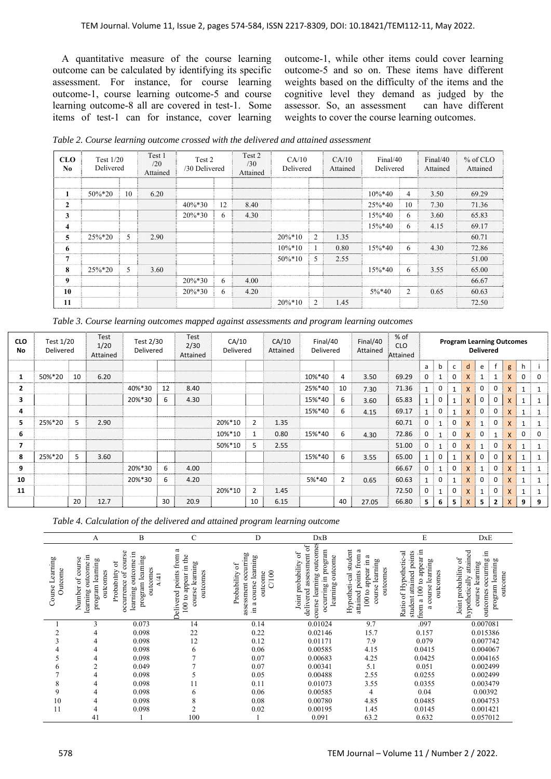A quantitative measure of the course learning outcome can be calculated by identifying its specific assessment. For instance, for course learning outcome-1, course learning outcome-5 and course learning outcome-8 all are covered in test-1. Some items of test-1 can for instance, cover learning outcome-1, while other items could cover learning outcome-5 and so on. These items have different weights based on the difficulty of the items and the cognitive level they demand as judged by the assessor. So, an assessment can have different weights to cover the course learning outcomes.

*Table 2. Course learning outcome crossed with the delivered and attained assessment* 

| <b>CLO</b><br>No.       | Test $1/20$<br>Delivered |    | Test 1<br>/20<br>Attained | Test 2<br>/30 Delivered |    | Test 2<br>/30<br>Attained | CA/10<br>Delivered |      |      |             |    |           | CA/10<br>Attained |      | Final/40<br>Delivered |  | $%$ of CLO<br>Attained |
|-------------------------|--------------------------|----|---------------------------|-------------------------|----|---------------------------|--------------------|------|------|-------------|----|-----------|-------------------|------|-----------------------|--|------------------------|
|                         |                          |    |                           |                         |    |                           |                    |      |      |             |    |           |                   |      |                       |  |                        |
| 1                       | 50%*20                   | 10 | 6.20                      |                         |    |                           |                    |      |      | $10\%*40$   | 4  | 3.50      | 69.29             |      |                       |  |                        |
| $\overline{2}$          |                          |    |                           | $40\%*30$               | 12 | 8.40                      |                    |      |      | 25%*40      | 10 | 7.30      | 71.36             |      |                       |  |                        |
| 3                       |                          |    |                           | $20\%*30$               | 6  | 4.30                      |                    |      |      | 15%*40<br>6 |    | 3.60      | 65.83             |      |                       |  |                        |
| $\overline{\mathbf{4}}$ |                          |    |                           |                         |    |                           |                    |      |      | 15%*40<br>6 |    |           |                   | 4.15 | 69.17                 |  |                        |
| 5                       | 25%*20                   | 5  | 2.90                      |                         |    |                           | $20\%*10$          | 2    | 1.35 |             |    |           | 60.71             |      |                       |  |                        |
| 6                       |                          |    |                           |                         |    |                           | $10\%*10$          | 0.80 |      |             |    | $15\%*40$ | 6                 | 4.30 | 72.86                 |  |                        |
| $\overline{7}$          |                          |    |                           |                         |    |                           | $50\%*10$          | 5    |      |             |    |           | 51.00             |      |                       |  |                        |
| 8                       | 25%*20                   | 5  | 3.60                      |                         |    |                           |                    |      |      | $15\%*40$   | 6  | 3.55      | 65.00             |      |                       |  |                        |
| 9                       |                          |    |                           | $20\%*30$               | 6  | 4.00                      |                    |      |      |             |    |           | 66.67             |      |                       |  |                        |
| 10                      |                          |    |                           | $20\%*30$               | 6  | 4.20                      |                    |      |      | $5\%*40$    | 2  | 0.65      | 60.63             |      |                       |  |                        |
| 11                      |                          |    |                           |                         |    |                           | $20\%*10$          | 2    | 1.45 |             |    |           | 72.50             |      |                       |  |                        |

|  |  |  | Table 3. Course learning outcomes mapped against assessments and program learning outcomes |  |  |
|--|--|--|--------------------------------------------------------------------------------------------|--|--|
|  |  |  |                                                                                            |  |  |

| <b>CLO</b><br><b>No</b> | Test 1/20<br><b>Delivered</b> |    | Test<br>1/20<br>Attained | Test 2/30<br>Delivered |    | Test<br>2/30<br>Attained | CA/10<br>Delivered |                | CA/10<br>Attained | Final/40<br>Delivered |    | Final/40<br>Attained | $%$ of<br><b>CLO</b><br>Attained | <b>Program Learning Outcomes</b><br><b>Delivered</b> |              |   |          |   |              |              |   |          |
|-------------------------|-------------------------------|----|--------------------------|------------------------|----|--------------------------|--------------------|----------------|-------------------|-----------------------|----|----------------------|----------------------------------|------------------------------------------------------|--------------|---|----------|---|--------------|--------------|---|----------|
|                         |                               |    |                          |                        |    |                          |                    |                |                   |                       |    |                      |                                  | a                                                    | b            | C | d        | e | $\mathbf f$  | g            | h |          |
| 1                       | 50%*20                        | 10 | 6.20                     |                        |    |                          |                    |                |                   | 10%*40                | 4  | 3.50                 | 69.29                            | $\mathbf 0$                                          |              | 0 | <b>X</b> |   |              | $\mathsf{x}$ | 0 | $\Omega$ |
| $\mathbf{2}$            |                               |    |                          | 40%*30                 | 12 | 8.40                     |                    |                |                   | 25%*40                | 10 | 7.30                 | 71.36                            | $\mathbf{1}$                                         | 0            | 1 | X        | 0 | 0            | $\mathsf{x}$ |   | 1        |
| 3                       |                               |    |                          | 20%*30                 | 6  | 4.30                     |                    |                |                   | 15%*40                | 6  | 3.60                 | 65.83                            |                                                      | 0            |   | X        | 0 |              | X            |   |          |
| 4                       |                               |    |                          |                        |    |                          |                    |                |                   | 15%*40                | 6  | 4.15                 | 69.17                            | $\mathbf{1}$                                         | 0            |   | X        | 0 | 0            | X            |   | 1        |
| 5                       | 25%*20                        | 5  | 2.90                     |                        |    |                          | 20%*10             | $\overline{2}$ | 1.35              |                       |    |                      | 60.71                            | $\mathbf 0$                                          | $\mathbf{1}$ | 0 | X        |   | 0            | $\mathsf{x}$ |   |          |
| 6                       |                               |    |                          |                        |    |                          | 10%*10             | $\mathbf{1}$   | 0.80              | 15%*40                | 6  | 4.30                 | 72.86                            | 0                                                    | $\mathbf{1}$ | 0 | X        | 0 |              | $\mathsf{x}$ | 0 | 0        |
| 7                       |                               |    |                          |                        |    |                          | 50%*10             | 5              | 2.55              |                       |    |                      | 51.00                            | 0                                                    | $\mathbf{1}$ | 0 | X        |   |              | X            |   | 1        |
| 8                       | 25%*20                        | 5  | 3.60                     |                        |    |                          |                    |                |                   | 15%*40                | 6  | 3.55                 | 65.00                            | $\mathbf{1}$                                         | 0            |   | X        | 0 |              | X            |   |          |
| 9                       |                               |    |                          | 20%*30                 | 6  | 4.00                     |                    |                |                   |                       |    |                      | 66.67                            | 0                                                    | $\mathbf{1}$ | 0 | X        |   | 0            | $\mathsf{x}$ |   | 1        |
| 10                      |                               |    |                          | 20%*30                 | 6  | 4.20                     |                    |                |                   | 5%*40                 | 2  | 0.65                 | 60.63                            | $\mathbf{1}$                                         | 0            |   | X        | 0 | 0            | X            |   | 1        |
| 11                      |                               |    |                          |                        |    |                          | 20%*10             | $\overline{2}$ | 1.45              |                       |    |                      | 72.50                            | 0                                                    | $\mathbf{1}$ | 0 | X        |   | 0            | X            |   | 1        |
|                         |                               | 20 | 12.7                     |                        | 30 | 20.9                     |                    | 10             | 6.15              |                       | 40 | 27.05                | 66.80                            | 5.                                                   | 6            | 5 | X        | 5 | $\mathbf{2}$ | X            | 9 | 9        |

*Table 4. Calculation of the delivered and attained program learning outcome*

|                            | A                                                                          | B                                                                                                                       | С                                                                                        | D                                                                                                 | DxB                                                                                                                                                      |                                                                                                                     | E                                                                                                                                   | DxE                                                                                                                                              |
|----------------------------|----------------------------------------------------------------------------|-------------------------------------------------------------------------------------------------------------------------|------------------------------------------------------------------------------------------|---------------------------------------------------------------------------------------------------|----------------------------------------------------------------------------------------------------------------------------------------------------------|---------------------------------------------------------------------------------------------------------------------|-------------------------------------------------------------------------------------------------------------------------------------|--------------------------------------------------------------------------------------------------------------------------------------------------|
| Course Learning<br>Outcome | learning outcome in<br>course<br>program learning<br>outcomes<br>Number of | course<br>Ξ<br>program learning<br>learning outcome<br>ō<br>outcomes<br>Probability<br>occurrence of<br>$\overline{41}$ | ದ<br><b>Delivered points from</b><br>100 to appear in the<br>course learning<br>outcomes | assessment occurring<br>in a course learning<br>$\mathfrak{b}$<br>C/100<br>Probability<br>outcome | outcomes<br>assessment of<br>occurring in program<br>$\mathfrak{o}\mathfrak{f}$<br>learning outcome<br>Joint probability<br>course learning<br>delivered | student<br>ದ<br>from<br>ದ<br>course learning<br>appear in<br>outcomes<br>attained points<br>Hypotheti-cal<br>100 to | 100 to appear in<br>student attained points<br>of Hypothetic-al<br>course learning<br>putcomes<br>from a<br>Ratio<br>$\mathfrak{a}$ | hypothetically attained<br>- 드<br>$\mathfrak{b}$<br>program learning<br>occurring<br>course learning<br>Joint probability<br>outcome<br>outcomes |
|                            | 3                                                                          | 0.073                                                                                                                   | 14                                                                                       | 0.14                                                                                              | 0.01024                                                                                                                                                  | 9.7                                                                                                                 | .097                                                                                                                                | 0.007081                                                                                                                                         |
|                            | 4                                                                          | 0.098                                                                                                                   | 22                                                                                       | 0.22                                                                                              | 0.02146                                                                                                                                                  | 15.7                                                                                                                | 0.157                                                                                                                               | 0.015386                                                                                                                                         |
| 3                          | 4                                                                          | 0.098                                                                                                                   | 12                                                                                       | 0.12                                                                                              | 0.01171                                                                                                                                                  | 7.9                                                                                                                 | 0.079                                                                                                                               | 0.007742                                                                                                                                         |
|                            | 4                                                                          | 0.098                                                                                                                   | 6                                                                                        | 0.06                                                                                              | 0.00585                                                                                                                                                  | 4.15                                                                                                                | 0.0415                                                                                                                              | 0.004067                                                                                                                                         |
|                            | 4                                                                          | 0.098                                                                                                                   |                                                                                          | 0.07                                                                                              | 0.00683                                                                                                                                                  | 4.25                                                                                                                | 0.0425                                                                                                                              | 0.004165                                                                                                                                         |
| 6                          | $\overline{c}$                                                             | 0.049                                                                                                                   |                                                                                          | 0.07                                                                                              | 0.00341                                                                                                                                                  | 5.1                                                                                                                 | 0.051                                                                                                                               | 0.002499                                                                                                                                         |
|                            | 4                                                                          | 0.098                                                                                                                   |                                                                                          | 0.05                                                                                              | 0.00488                                                                                                                                                  | 2.55                                                                                                                | 0.0255                                                                                                                              | 0.002499                                                                                                                                         |
| 8                          | 4                                                                          | 0.098                                                                                                                   | 11                                                                                       | 0.11                                                                                              | 0.01073                                                                                                                                                  | 3.55                                                                                                                | 0.0355                                                                                                                              | 0.003479                                                                                                                                         |
| 9                          | 4                                                                          | 0.098                                                                                                                   | 6                                                                                        | 0.06                                                                                              | 0.00585                                                                                                                                                  | 4                                                                                                                   | 0.04                                                                                                                                | 0.00392                                                                                                                                          |
| 10                         | 4                                                                          | 0.098                                                                                                                   | 8                                                                                        | 0.08                                                                                              | 0.00780                                                                                                                                                  | 4.85                                                                                                                | 0.0485                                                                                                                              | 0.004753                                                                                                                                         |
| 11                         | 4                                                                          | 0.098                                                                                                                   |                                                                                          | 0.02                                                                                              | 0.00195                                                                                                                                                  | 1.45                                                                                                                | 0.0145                                                                                                                              | 0.001421                                                                                                                                         |
|                            | 41                                                                         |                                                                                                                         | 100                                                                                      |                                                                                                   | 0.091                                                                                                                                                    | 63.2                                                                                                                | 0.632                                                                                                                               | 0.057012                                                                                                                                         |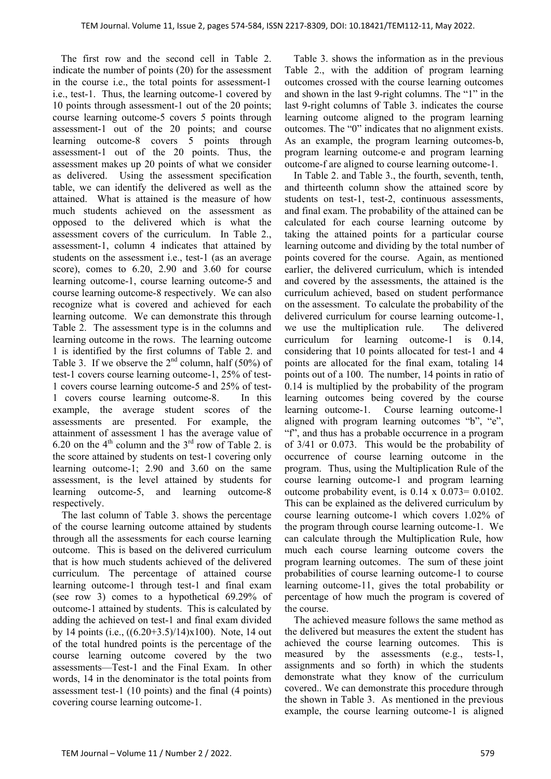The first row and the second cell in Table 2. indicate the number of points (20) for the assessment in the course i.e., the total points for assessment-1 i.e., test-1. Thus, the learning outcome-1 covered by 10 points through assessment-1 out of the 20 points; course learning outcome-5 covers 5 points through assessment-1 out of the 20 points; and course learning outcome-8 covers 5 points through assessment-1 out of the 20 points. Thus, the assessment makes up 20 points of what we consider as delivered. Using the assessment specification table, we can identify the delivered as well as the attained. What is attained is the measure of how much students achieved on the assessment as opposed to the delivered which is what the assessment covers of the curriculum. In Table 2., assessment-1, column 4 indicates that attained by students on the assessment i.e., test-1 (as an average score), comes to 6.20, 2.90 and 3.60 for course learning outcome-1, course learning outcome-5 and course learning outcome-8 respectively. We can also recognize what is covered and achieved for each learning outcome. We can demonstrate this through Table 2. The assessment type is in the columns and learning outcome in the rows. The learning outcome 1 is identified by the first columns of Table 2. and Table 3. If we observe the  $2<sup>nd</sup>$  column, half (50%) of test-1 covers course learning outcome-1, 25% of test-1 covers course learning outcome-5 and 25% of test-1 covers course learning outcome-8. In this example, the average student scores of the assessments are presented. For example, the attainment of assessment 1 has the average value of 6.20 on the  $4<sup>th</sup>$  column and the  $3<sup>rd</sup>$  row of Table 2. is the score attained by students on test-1 covering only learning outcome-1; 2.90 and 3.60 on the same assessment, is the level attained by students for learning outcome-5, and learning outcome-8 respectively.

The last column of Table 3. shows the percentage of the course learning outcome attained by students through all the assessments for each course learning outcome. This is based on the delivered curriculum that is how much students achieved of the delivered curriculum. The percentage of attained course learning outcome-1 through test-1 and final exam (see row 3) comes to a hypothetical 69.29% of outcome-1 attained by students. This is calculated by adding the achieved on test-1 and final exam divided by 14 points (i.e., ((6.20+3.5)/14)x100). Note, 14 out of the total hundred points is the percentage of the course learning outcome covered by the two assessments—Test-1 and the Final Exam. In other words, 14 in the denominator is the total points from assessment test-1 (10 points) and the final (4 points) covering course learning outcome-1.

Table 3. shows the information as in the previous Table 2., with the addition of program learning outcomes crossed with the course learning outcomes and shown in the last 9-right columns. The "1" in the last 9-right columns of Table 3. indicates the course learning outcome aligned to the program learning outcomes. The "0" indicates that no alignment exists. As an example, the program learning outcomes-b, program learning outcome-e and program learning outcome-f are aligned to course learning outcome-1.

In Table 2. and Table 3., the fourth, seventh, tenth, and thirteenth column show the attained score by students on test-1, test-2, continuous assessments, and final exam. The probability of the attained can be calculated for each course learning outcome by taking the attained points for a particular course learning outcome and dividing by the total number of points covered for the course. Again, as mentioned earlier, the delivered curriculum, which is intended and covered by the assessments, the attained is the curriculum achieved, based on student performance on the assessment. To calculate the probability of the delivered curriculum for course learning outcome-1, we use the multiplication rule. The delivered curriculum for learning outcome-1 is 0.14, considering that 10 points allocated for test-1 and 4 points are allocated for the final exam, totaling 14 points out of a 100. The number, 14 points in ratio of 0.14 is multiplied by the probability of the program learning outcomes being covered by the course learning outcome-1. Course learning outcome-1 aligned with program learning outcomes "b", "e", "f", and thus has a probable occurrence in a program of 3/41 or 0.073. This would be the probability of occurrence of course learning outcome in the program. Thus, using the Multiplication Rule of the course learning outcome-1 and program learning outcome probability event, is  $0.14 \times 0.073 = 0.0102$ . This can be explained as the delivered curriculum by course learning outcome-1 which covers 1.02% of the program through course learning outcome-1. We can calculate through the Multiplication Rule, how much each course learning outcome covers the program learning outcomes. The sum of these joint probabilities of course learning outcome-1 to course learning outcome-11, gives the total probability or percentage of how much the program is covered of the course.

The achieved measure follows the same method as the delivered but measures the extent the student has achieved the course learning outcomes. This is measured by the assessments (e.g., tests-1, assignments and so forth) in which the students demonstrate what they know of the curriculum covered.. We can demonstrate this procedure through the shown in Table 3. As mentioned in the previous example, the course learning outcome-1 is aligned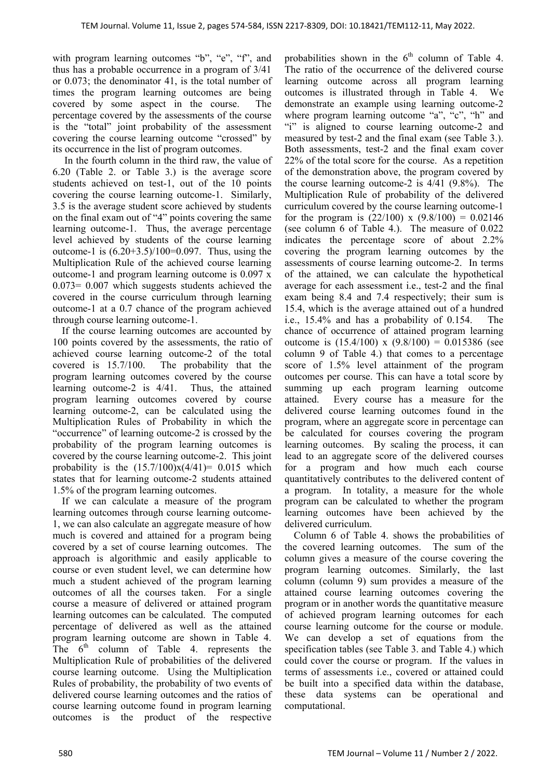with program learning outcomes "b", "e", "f", and thus has a probable occurrence in a program of 3/41 or 0.073; the denominator 41, is the total number of times the program learning outcomes are being covered by some aspect in the course. The percentage covered by the assessments of the course is the "total" joint probability of the assessment covering the course learning outcome "crossed" by its occurrence in the list of program outcomes.

 In the fourth column in the third raw, the value of 6.20 (Table 2. or Table 3.) is the average score students achieved on test-1, out of the 10 points covering the course learning outcome-1. Similarly, 3.5 is the average student score achieved by students on the final exam out of "4" points covering the same learning outcome-1. Thus, the average percentage level achieved by students of the course learning outcome-1 is  $(6.20+3.5)/100=0.097$ . Thus, using the Multiplication Rule of the achieved course learning outcome-1 and program learning outcome is 0.097 x 0.073= 0.007 which suggests students achieved the covered in the course curriculum through learning outcome-1 at a 0.7 chance of the program achieved through course learning outcome-1.

If the course learning outcomes are accounted by 100 points covered by the assessments, the ratio of achieved course learning outcome-2 of the total covered is 15.7/100. The probability that the program learning outcomes covered by the course learning outcome-2 is 4/41. Thus, the attained program learning outcomes covered by course learning outcome-2, can be calculated using the Multiplication Rules of Probability in which the "occurrence" of learning outcome-2 is crossed by the probability of the program learning outcomes is covered by the course learning outcome-2. This joint probability is the  $(15.7/100)x(4/41) = 0.015$  which states that for learning outcome-2 students attained 1.5% of the program learning outcomes.

If we can calculate a measure of the program learning outcomes through course learning outcome-1, we can also calculate an aggregate measure of how much is covered and attained for a program being covered by a set of course learning outcomes. The approach is algorithmic and easily applicable to course or even student level, we can determine how much a student achieved of the program learning outcomes of all the courses taken. For a single course a measure of delivered or attained program learning outcomes can be calculated. The computed percentage of delivered as well as the attained program learning outcome are shown in Table 4. The  $6<sup>th</sup>$  column of Table 4. represents the Multiplication Rule of probabilities of the delivered course learning outcome. Using the Multiplication Rules of probability, the probability of two events of delivered course learning outcomes and the ratios of course learning outcome found in program learning outcomes is the product of the respective

probabilities shown in the  $6<sup>th</sup>$  column of Table 4. The ratio of the occurrence of the delivered course learning outcome across all program learning outcomes is illustrated through in Table 4. We demonstrate an example using learning outcome-2 where program learning outcome "a", "c", "h" and "i" is aligned to course learning outcome-2 and measured by test-2 and the final exam (see Table 3.). Both assessments, test-2 and the final exam cover 22% of the total score for the course. As a repetition of the demonstration above, the program covered by the course learning outcome-2 is 4/41 (9.8%). The Multiplication Rule of probability of the delivered curriculum covered by the course learning outcome-1 for the program is  $(22/100)$  x  $(9.8/100) = 0.02146$ (see column 6 of Table 4.). The measure of 0.022 indicates the percentage score of about 2.2% covering the program learning outcomes by the assessments of course learning outcome-2. In terms of the attained, we can calculate the hypothetical average for each assessment i.e., test-2 and the final exam being 8.4 and 7.4 respectively; their sum is 15.4, which is the average attained out of a hundred i.e., 15.4% and has a probability of 0.154. The chance of occurrence of attained program learning outcome is  $(15.4/100)$  x  $(9.8/100) = 0.015386$  (see column 9 of Table 4.) that comes to a percentage score of 1.5% level attainment of the program outcomes per course. This can have a total score by summing up each program learning outcome attained. Every course has a measure for the delivered course learning outcomes found in the program, where an aggregate score in percentage can be calculated for courses covering the program learning outcomes. By scaling the process, it can lead to an aggregate score of the delivered courses for a program and how much each course quantitatively contributes to the delivered content of a program. In totality, a measure for the whole program can be calculated to whether the program learning outcomes have been achieved by the delivered curriculum.

Column 6 of Table 4. shows the probabilities of the covered learning outcomes. The sum of the column gives a measure of the course covering the program learning outcomes. Similarly, the last column (column 9) sum provides a measure of the attained course learning outcomes covering the program or in another words the quantitative measure of achieved program learning outcomes for each course learning outcome for the course or module. We can develop a set of equations from the specification tables (see Table 3. and Table 4.) which could cover the course or program. If the values in terms of assessments i.e., covered or attained could be built into a specified data within the database, these data systems can be operational and computational.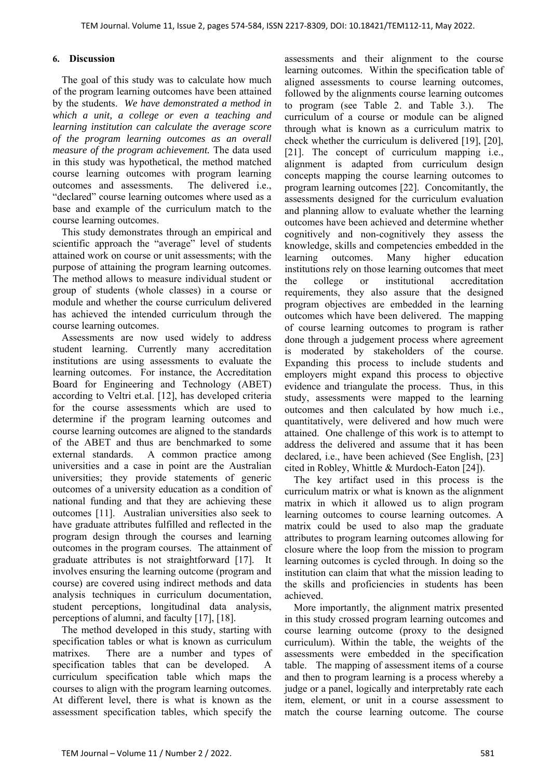#### **6. Discussion**

The goal of this study was to calculate how much of the program learning outcomes have been attained by the students. *We have demonstrated a method in which a unit, a college or even a teaching and learning institution can calculate the average score of the program learning outcomes as an overall measure of the program achievement.* The data used in this study was hypothetical, the method matched course learning outcomes with program learning outcomes and assessments. The delivered i.e., "declared" course learning outcomes where used as a base and example of the curriculum match to the course learning outcomes.

This study demonstrates through an empirical and scientific approach the "average" level of students attained work on course or unit assessments; with the purpose of attaining the program learning outcomes. The method allows to measure individual student or group of students (whole classes) in a course or module and whether the course curriculum delivered has achieved the intended curriculum through the course learning outcomes.

Assessments are now used widely to address student learning. Currently many accreditation institutions are using assessments to evaluate the learning outcomes. For instance, the Accreditation Board for Engineering and Technology (ABET) according to Veltri et.al. [12], has developed criteria for the course assessments which are used to determine if the program learning outcomes and course learning outcomes are aligned to the standards of the ABET and thus are benchmarked to some external standards. A common practice among universities and a case in point are the Australian universities; they provide statements of generic outcomes of a university education as a condition of national funding and that they are achieving these outcomes [11]. Australian universities also seek to have graduate attributes fulfilled and reflected in the program design through the courses and learning outcomes in the program courses. The attainment of graduate attributes is not straightforward [17]. It involves ensuring the learning outcome (program and course) are covered using indirect methods and data analysis techniques in curriculum documentation, student perceptions, longitudinal data analysis, perceptions of alumni, and faculty [17], [18].

The method developed in this study, starting with specification tables or what is known as curriculum matrixes. There are a number and types of specification tables that can be developed. A curriculum specification table which maps the courses to align with the program learning outcomes. At different level, there is what is known as the assessment specification tables, which specify the

assessments and their alignment to the course learning outcomes. Within the specification table of aligned assessments to course learning outcomes, followed by the alignments course learning outcomes to program (see Table 2. and Table 3.). The curriculum of a course or module can be aligned through what is known as a curriculum matrix to check whether the curriculum is delivered [19], [20], [21]. The concept of curriculum mapping i.e., alignment is adapted from curriculum design concepts mapping the course learning outcomes to program learning outcomes [22]. Concomitantly, the assessments designed for the curriculum evaluation and planning allow to evaluate whether the learning outcomes have been achieved and determine whether cognitively and non-cognitively they assess the knowledge, skills and competencies embedded in the learning outcomes. Many higher education institutions rely on those learning outcomes that meet the college or institutional accreditation requirements, they also assure that the designed program objectives are embedded in the learning outcomes which have been delivered. The mapping of course learning outcomes to program is rather done through a judgement process where agreement is moderated by stakeholders of the course. Expanding this process to include students and employers might expand this process to objective evidence and triangulate the process. Thus, in this study, assessments were mapped to the learning outcomes and then calculated by how much i.e., quantitatively, were delivered and how much were attained. One challenge of this work is to attempt to address the delivered and assume that it has been declared, i.e., have been achieved (See English, [23] cited in Robley, Whittle & Murdoch‐Eaton [24]).

The key artifact used in this process is the curriculum matrix or what is known as the alignment matrix in which it allowed us to align program learning outcomes to course learning outcomes. A matrix could be used to also map the graduate attributes to program learning outcomes allowing for closure where the loop from the mission to program learning outcomes is cycled through. In doing so the institution can claim that what the mission leading to the skills and proficiencies in students has been achieved.

More importantly, the alignment matrix presented in this study crossed program learning outcomes and course learning outcome (proxy to the designed curriculum). Within the table, the weights of the assessments were embedded in the specification table. The mapping of assessment items of a course and then to program learning is a process whereby a judge or a panel, logically and interpretably rate each item, element, or unit in a course assessment to match the course learning outcome. The course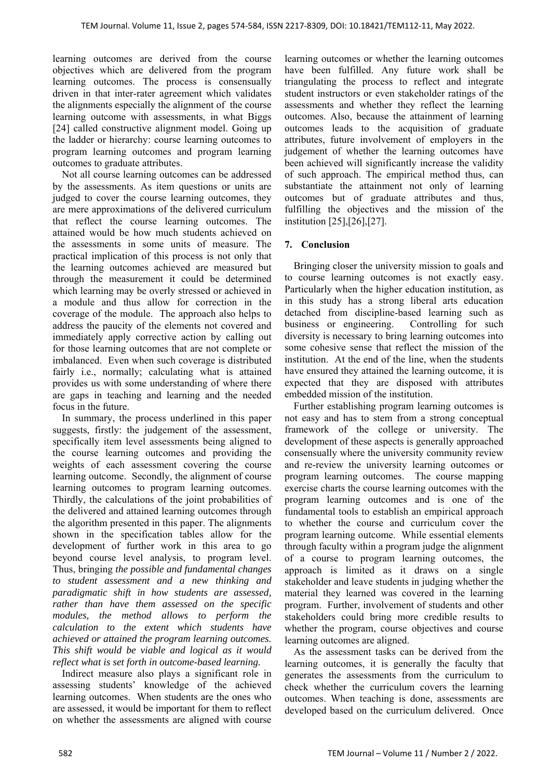learning outcomes are derived from the course objectives which are delivered from the program learning outcomes. The process is consensually driven in that inter-rater agreement which validates the alignments especially the alignment of the course learning outcome with assessments, in what Biggs [24] called constructive alignment model. Going up the ladder or hierarchy: course learning outcomes to program learning outcomes and program learning outcomes to graduate attributes.

Not all course learning outcomes can be addressed by the assessments. As item questions or units are judged to cover the course learning outcomes, they are mere approximations of the delivered curriculum that reflect the course learning outcomes. The attained would be how much students achieved on the assessments in some units of measure. The practical implication of this process is not only that the learning outcomes achieved are measured but through the measurement it could be determined which learning may be overly stressed or achieved in a module and thus allow for correction in the coverage of the module. The approach also helps to address the paucity of the elements not covered and immediately apply corrective action by calling out for those learning outcomes that are not complete or imbalanced. Even when such coverage is distributed fairly i.e., normally; calculating what is attained provides us with some understanding of where there are gaps in teaching and learning and the needed focus in the future.

In summary, the process underlined in this paper suggests, firstly: the judgement of the assessment, specifically item level assessments being aligned to the course learning outcomes and providing the weights of each assessment covering the course learning outcome. Secondly, the alignment of course learning outcomes to program learning outcomes. Thirdly, the calculations of the joint probabilities of the delivered and attained learning outcomes through the algorithm presented in this paper. The alignments shown in the specification tables allow for the development of further work in this area to go beyond course level analysis, to program level. Thus, bringing *the possible and fundamental changes to student assessment and a new thinking and paradigmatic shift in how students are assessed, rather than have them assessed on the specific modules, the method allows to perform the calculation to the extent which students have achieved or attained the program learning outcomes. This shift would be viable and logical as it would reflect what is set forth in outcome-based learning.* 

Indirect measure also plays a significant role in assessing students' knowledge of the achieved learning outcomes. When students are the ones who are assessed, it would be important for them to reflect on whether the assessments are aligned with course learning outcomes or whether the learning outcomes have been fulfilled. Any future work shall be triangulating the process to reflect and integrate student instructors or even stakeholder ratings of the assessments and whether they reflect the learning outcomes. Also, because the attainment of learning outcomes leads to the acquisition of graduate attributes, future involvement of employers in the judgement of whether the learning outcomes have been achieved will significantly increase the validity of such approach. The empirical method thus, can substantiate the attainment not only of learning outcomes but of graduate attributes and thus, fulfilling the objectives and the mission of the institution [25],[26],[27].

## **7. Conclusion**

Bringing closer the university mission to goals and to course learning outcomes is not exactly easy. Particularly when the higher education institution, as in this study has a strong liberal arts education detached from discipline-based learning such as business or engineering. Controlling for such diversity is necessary to bring learning outcomes into some cohesive sense that reflect the mission of the institution. At the end of the line, when the students have ensured they attained the learning outcome, it is expected that they are disposed with attributes embedded mission of the institution.

Further establishing program learning outcomes is not easy and has to stem from a strong conceptual framework of the college or university. The development of these aspects is generally approached consensually where the university community review and re-review the university learning outcomes or program learning outcomes. The course mapping exercise charts the course learning outcomes with the program learning outcomes and is one of the fundamental tools to establish an empirical approach to whether the course and curriculum cover the program learning outcome. While essential elements through faculty within a program judge the alignment of a course to program learning outcomes, the approach is limited as it draws on a single stakeholder and leave students in judging whether the material they learned was covered in the learning program. Further, involvement of students and other stakeholders could bring more credible results to whether the program, course objectives and course learning outcomes are aligned.

As the assessment tasks can be derived from the learning outcomes, it is generally the faculty that generates the assessments from the curriculum to check whether the curriculum covers the learning outcomes. When teaching is done, assessments are developed based on the curriculum delivered. Once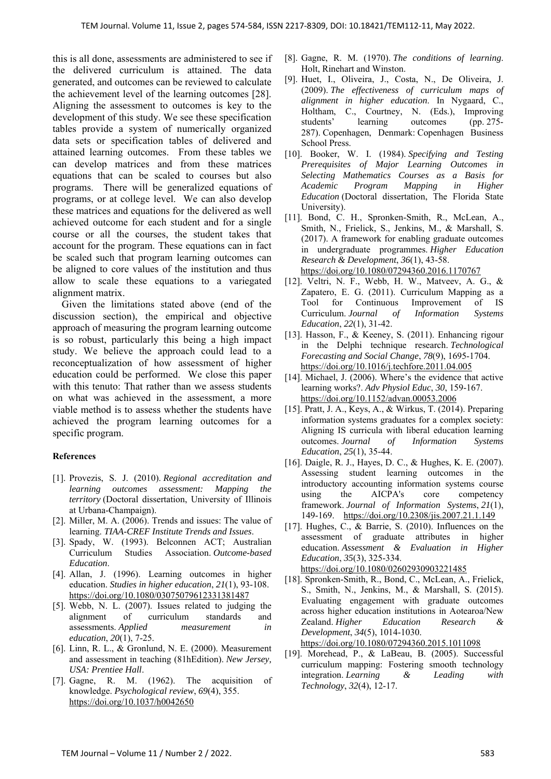this is all done, assessments are administered to see if the delivered curriculum is attained. The data generated, and outcomes can be reviewed to calculate the achievement level of the learning outcomes [28]. Aligning the assessment to outcomes is key to the development of this study. We see these specification tables provide a system of numerically organized data sets or specification tables of delivered and attained learning outcomes. From these tables we can develop matrices and from these matrices equations that can be scaled to courses but also programs. There will be generalized equations of programs, or at college level. We can also develop these matrices and equations for the delivered as well achieved outcome for each student and for a single course or all the courses, the student takes that account for the program. These equations can in fact be scaled such that program learning outcomes can be aligned to core values of the institution and thus allow to scale these equations to a variegated alignment matrix.

Given the limitations stated above (end of the discussion section), the empirical and objective approach of measuring the program learning outcome is so robust, particularly this being a high impact study. We believe the approach could lead to a reconceptualization of how assessment of higher education could be performed. We close this paper with this tenuto: That rather than we assess students on what was achieved in the assessment, a more viable method is to assess whether the students have achieved the program learning outcomes for a specific program.

## **References**

- [1]. Provezis, S. J. (2010). *Regional accreditation and learning outcomes assessment: Mapping the territory* (Doctoral dissertation, University of Illinois at Urbana-Champaign).
- [2]. Miller, M. A. (2006). Trends and issues: The value of learning. *TIAA-CREF Institute Trends and Issues*.
- [3]. Spady, W. (1993). Belconnen ACT; Australian Curriculum Studies Association. *Outcome-based Education*.
- [4]. Allan, J. (1996). Learning outcomes in higher education. *Studies in higher education*, *21*(1), 93-108. https://doi.org/10.1080/03075079612331381487
- [5]. Webb, N. L. (2007). Issues related to judging the alignment of curriculum standards and assessments. *Applied measurement in education*, *20*(1), 7-25.
- [6]. Linn, R. L., & Gronlund, N. E. (2000). Measurement and assessment in teaching (81hEdition). *New Jersey, USA: Prentiee Hall*.
- [7]. Gagne, R. M. (1962). The acquisition of knowledge. *Psychological review*, *69*(4), 355. https://doi.org/10.1037/h0042650
- [8]. Gagne, R. M. (1970). *The conditions of learning*. Holt, Rinehart and Winston.
- [9]. Huet, I., Oliveira, J., Costa, N., De Oliveira, J. (2009). *The effectiveness of curriculum maps of alignment in higher education*. In Nygaard, C., Holtham, C., Courtney, N. (Eds.), Improving students' learning outcomes (pp. 275- 287). Copenhagen, Denmark: Copenhagen Business School Press.
- [10]. Booker, W. I. (1984). *Specifying and Testing Prerequisites of Major Learning Outcomes in Selecting Mathematics Courses as a Basis for Academic Program Mapping in Higher Education* (Doctoral dissertation, The Florida State University).
- [11]. Bond, C. H., Spronken-Smith, R., McLean, A., Smith, N., Frielick, S., Jenkins, M., & Marshall, S. (2017). A framework for enabling graduate outcomes in undergraduate programmes. *Higher Education Research & Development*, *36*(1), 43-58. https://doi.org/10.1080/07294360.2016.1170767
- [12]. Veltri, N. F., Webb, H. W., Matveev, A. G., & Zapatero, E. G. (2011). Curriculum Mapping as a Tool for Continuous Improvement of IS Curriculum. *Journal of Information Systems Education*, *22*(1), 31-42.
- [13]. Hasson, F., & Keeney, S. (2011). Enhancing rigour in the Delphi technique research. *Technological Forecasting and Social Change*, *78*(9), 1695-1704. https://doi.org/10.1016/j.techfore.2011.04.005
- [14]. Michael, J. (2006). Where's the evidence that active learning works?. *Adv Physiol Educ*, *30*, 159-167. https://doi.org/10.1152/advan.00053.2006
- [15]. Pratt, J. A., Keys, A., & Wirkus, T. (2014). Preparing information systems graduates for a complex society: Aligning IS curricula with liberal education learning outcomes. *Journal of Information Systems Education*, *25*(1), 35-44.
- [16]. Daigle, R. J., Hayes, D. C., & Hughes, K. E. (2007). Assessing student learning outcomes in the introductory accounting information systems course using the AICPA's core competency framework. *Journal of Information Systems*, *21*(1), 149-169. https://doi.org/10.2308/jis.2007.21.1.149
- [17]. Hughes, C., & Barrie, S. (2010). Influences on the assessment of graduate attributes in higher education. *Assessment & Evaluation in Higher Education*, *35*(3), 325-334. https://doi.org/10.1080/02602930903221485
- [18]. Spronken-Smith, R., Bond, C., McLean, A., Frielick, S., Smith, N., Jenkins, M., & Marshall, S. (2015). Evaluating engagement with graduate outcomes across higher education institutions in Aotearoa/New Zealand. *Higher Education Research & Development*, *34*(5), 1014-1030.

https://doi.org/10.1080/07294360.2015.1011098

[19]. Morehead, P., & LaBeau, B. (2005). Successful curriculum mapping: Fostering smooth technology integration. *Learning & Leading with Technology*, *32*(4), 12-17.